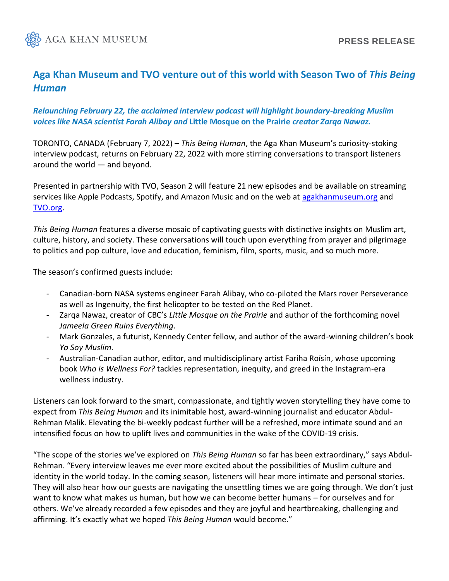

# **Aga Khan Museum and TVO venture out of this world with Season Two of** *This Being Human*

## *Relaunching February 22, the acclaimed interview podcast will highlight boundary-breaking Muslim voices like NASA scientist Farah Alibay and* **Little Mosque on the Prairie** *creator Zarqa Nawaz.*

TORONTO, CANADA (February 7, 2022) – *This Being Human*, the Aga Khan Museum's curiosity-stoking interview podcast, returns on February 22, 2022 with more stirring conversations to transport listeners around the world — and beyond.

Presented in partnership with TVO, Season 2 will feature 21 new episodes and be available on streaming services like Apple Podcasts, Spotify, and Amazon Music and on the web at [agakhanmuseum.org](https://agakhanmuseum.org/index.html) and [TVO.org.](https://www.tvo.org/)

*This Being Human* features a diverse mosaic of captivating guests with distinctive insights on Muslim art, culture, history, and society. These conversations will touch upon everything from prayer and pilgrimage to politics and pop culture, love and education, feminism, film, sports, music, and so much more.

The season's confirmed guests include:

- Canadian-born NASA systems engineer Farah Alibay, who co-piloted the Mars rover Perseverance as well as Ingenuity, the first helicopter to be tested on the Red Planet.
- Zarqa Nawaz, creator of CBC's *Little Mosque on the Prairie* and author of the forthcoming novel *Jameela Green Ruins Everything.*
- Mark Gonzales, a futurist, Kennedy Center fellow, and author of the award-winning children's book *Yo Soy Muslim.*
- Australian-Canadian author, editor, and multidisciplinary artist Fariha Roísín, whose upcoming book *Who is Wellness For?* tackles representation, inequity, and greed in the Instagram-era wellness industry.

Listeners can look forward to the smart, compassionate, and tightly woven storytelling they have come to expect from *This Being Human* and its inimitable host, award-winning journalist and educator Abdul-Rehman Malik. Elevating the bi-weekly podcast further will be a refreshed, more intimate sound and an intensified focus on how to uplift lives and communities in the wake of the COVID-19 crisis.

"The scope of the stories we've explored on *This Being Human* so far has been extraordinary," says Abdul-Rehman. "Every interview leaves me ever more excited about the possibilities of Muslim culture and identity in the world today. In the coming season, listeners will hear more intimate and personal stories. They will also hear how our guests are navigating the unsettling times we are going through. We don't just want to know what makes us human, but how we can become better humans – for ourselves and for others. We've already recorded a few episodes and they are joyful and heartbreaking, challenging and affirming. It's exactly what we hoped *This Being Human* would become."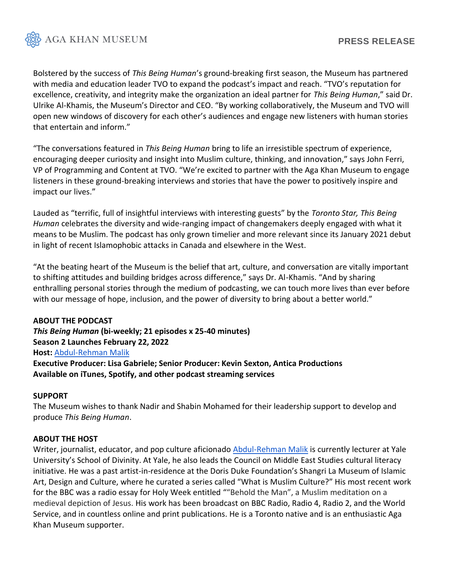

Bolstered by the success of *This Being Human*'s ground-breaking first season, the Museum has partnered with media and education leader TVO to expand the podcast's impact and reach. "TVO's reputation for excellence, creativity, and integrity make the organization an ideal partner for *This Being Human*," said Dr. Ulrike Al-Khamis, the Museum's Director and CEO. "By working collaboratively, the Museum and TVO will open new windows of discovery for each other's audiences and engage new listeners with human stories that entertain and inform."

"The conversations featured in *This Being Human* bring to life an irresistible spectrum of experience, encouraging deeper curiosity and insight into Muslim culture, thinking, and innovation," says John Ferri, VP of Programming and Content at TVO. "We're excited to partner with the Aga Khan Museum to engage listeners in these ground-breaking interviews and stories that have the power to positively inspire and impact our lives."

Lauded as "terrific, full of insightful interviews with interesting guests" by the *Toronto Star, This Being Human* celebrates the diversity and wide-ranging impact of changemakers deeply engaged with what it means to be Muslim. The podcast has only grown timelier and more relevant since its January 2021 debut in light of recent Islamophobic attacks in Canada and elsewhere in the West.

"At the beating heart of the Museum is the belief that art, culture, and conversation are vitally important to shifting attitudes and building bridges across difference," says Dr. Al-Khamis. "And by sharing enthralling personal stories through the medium of podcasting, we can touch more lives than ever before with our message of hope, inclusion, and the power of diversity to bring about a better world."

## **ABOUT THE PODCAST**

*This Being Human* **(bi-weekly; 21 episodes x 25-40 minutes) Season 2 Launches February 22, 2022 Host:** [Abdul-Rehman Malik](https://worldfellows.yale.edu/abdul-rehman-malik)  **Executive Producer: Lisa Gabriele; Senior Producer: Kevin Sexton, Antica Productions Available on iTunes, Spotify, and other podcast streaming services**

#### **SUPPORT**

The Museum wishes to thank Nadir and Shabin Mohamed for their leadership support to develop and produce *This Being Human*.

#### **ABOUT THE HOST**

Writer, journalist, educator, and pop culture aficionado [Abdul-Rehman Malik](https://worldfellows.yale.edu/abdul-rehman-malik) is currently lecturer at Yale University's School of Divinity. At Yale, he also leads the Council on Middle East Studies cultural literacy initiative. He was a past artist-in-residence at the Doris Duke Foundation's Shangri La Museum of Islamic Art, Design and Culture, where he curated a series called "What is Muslim Culture?" His most recent work for the BBC was a radio essay for Holy Week entitled ""Behold the Man", a Muslim meditation on a medieval depiction of Jesus. His work has been broadcast on BBC Radio, Radio 4, Radio 2, and the World Service, and in countless online and print publications. He is a Toronto native and is an enthusiastic Aga Khan Museum supporter.